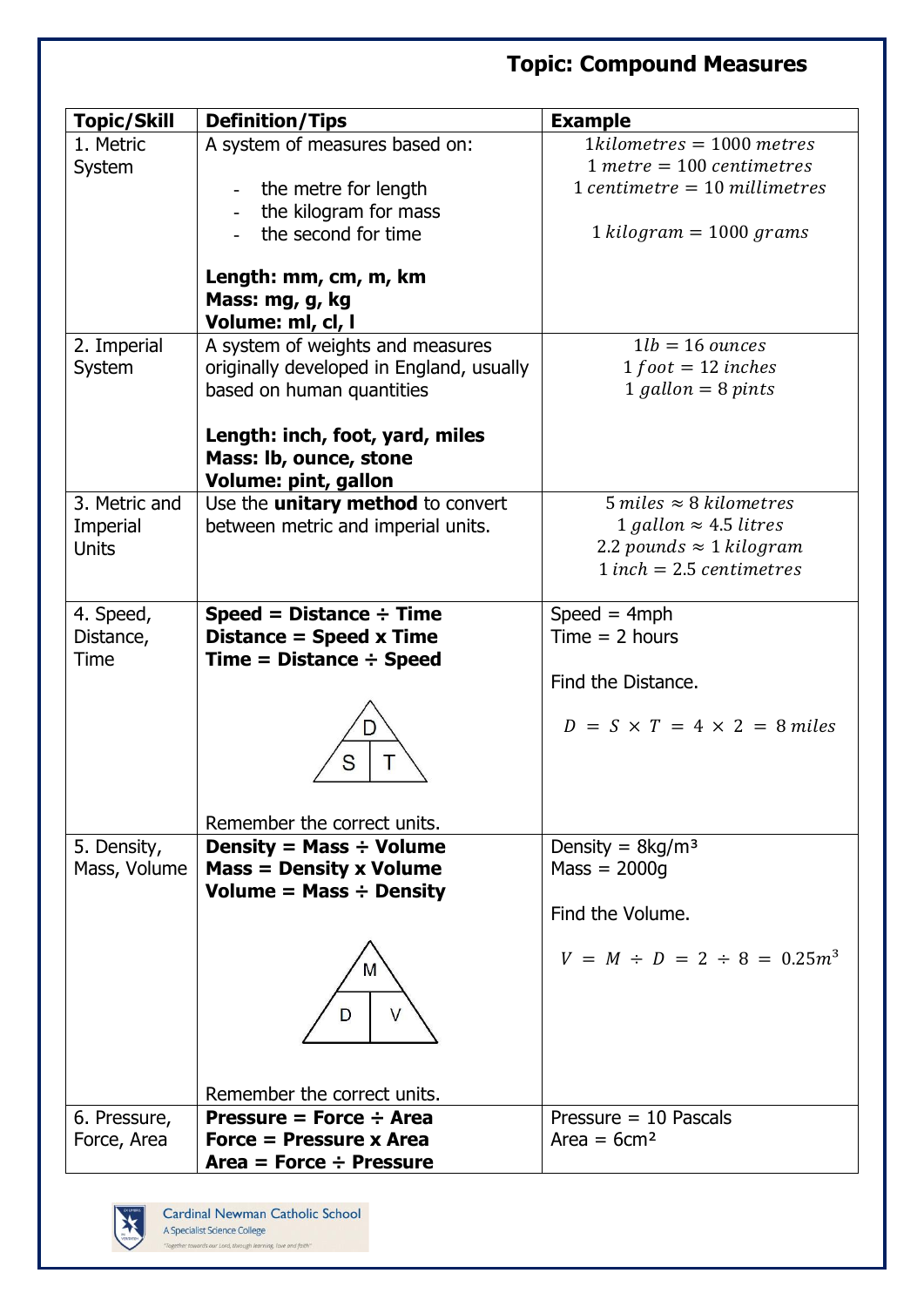## **Topic: Compound Measures**

| <b>Topic/Skill</b> | <b>Definition/Tips</b>                   | <b>Example</b>                                                   |
|--------------------|------------------------------------------|------------------------------------------------------------------|
| 1. Metric          | A system of measures based on:           | $1 kilometers = 1000 metres$                                     |
| System             |                                          | $1$ metre = 100 centimetres                                      |
|                    | the metre for length                     | $1$ centimetre = 10 millimetres                                  |
|                    | the kilogram for mass                    |                                                                  |
|                    | the second for time                      | $1 kilogram = 1000 grams$                                        |
|                    |                                          |                                                                  |
|                    | Length: mm, cm, m, km                    |                                                                  |
|                    | Mass: mg, g, kg                          |                                                                  |
|                    | Volume: ml, cl, l                        |                                                                  |
| 2. Imperial        | A system of weights and measures         | $1lb = 16$ ounces                                                |
| System             | originally developed in England, usually | $1 foot = 12 inches$                                             |
|                    | based on human quantities                | $1$ gallon = 8 pints                                             |
|                    |                                          |                                                                  |
|                    | Length: inch, foot, yard, miles          |                                                                  |
|                    | Mass: Ib, ounce, stone                   |                                                                  |
|                    | Volume: pint, gallon                     |                                                                  |
| 3. Metric and      | Use the <i>unitary</i> method to convert | $5$ miles $\approx$ 8 kilometres                                 |
| Imperial           | between metric and imperial units.       | 1 gallon $\approx$ 4.5 litres<br>2.2 pounds $\approx$ 1 kilogram |
| <b>Units</b>       |                                          | $1$ inch = 2.5 centimetres                                       |
|                    |                                          |                                                                  |
| 4. Speed,          | Speed = Distance $\div$ Time             | $Speed = 4 mph$                                                  |
| Distance,          | Distance = Speed x Time                  | $Time = 2 hours$                                                 |
| <b>Time</b>        | $Time = Distance \div Speed$             |                                                                  |
|                    |                                          | Find the Distance.                                               |
|                    |                                          |                                                                  |
|                    |                                          | $D = S \times T = 4 \times 2 = 8$ miles                          |
|                    |                                          |                                                                  |
|                    |                                          |                                                                  |
|                    |                                          |                                                                  |
|                    | Remember the correct units.              |                                                                  |
| 5. Density,        | Density = Mass $\div$ Volume             | Density = $8\text{kg/m}^3$                                       |
| Mass, Volume       | $Mass = Density x Volume$                | $Mass = 2000g$                                                   |
|                    | Volume = Mass $\div$ Density             |                                                                  |
|                    |                                          | Find the Volume.                                                 |
|                    |                                          |                                                                  |
|                    | M                                        | $V = M \div D = 2 \div 8 = 0.25m^3$                              |
|                    |                                          |                                                                  |
|                    | D                                        |                                                                  |
|                    |                                          |                                                                  |
|                    |                                          |                                                                  |
|                    | Remember the correct units.              |                                                                  |
| 6. Pressure,       | Pressure = Force $\div$ Area             | Pressure $= 10$ Pascals                                          |
| Force, Area        | <b>Force = Pressure x Area</b>           | $Area = 6cm2$                                                    |
|                    | Area = Force $\div$ Pressure             |                                                                  |
|                    |                                          |                                                                  |